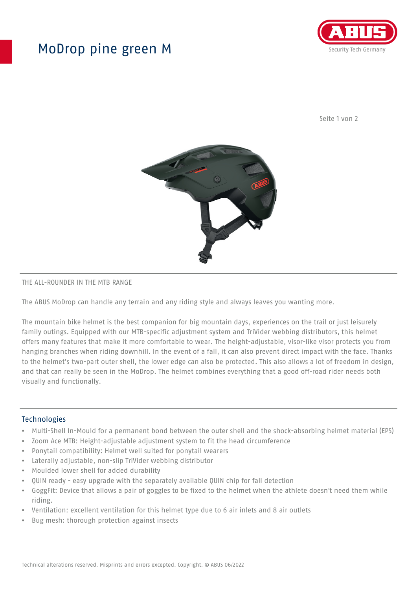## MoDrop pine green M



Seite 1 von 2



#### THE ALL-ROUNDER IN THE MTB RANGE

The ABUS MoDrop can handle any terrain and any riding style and always leaves you wanting more.

The mountain bike helmet is the best companion for big mountain days, experiences on the trail or just leisurely family outings. Equipped with our MTB-specific adjustment system and TriVider webbing distributors, this helmet offers many features that make it more comfortable to wear. The height-adjustable, visor-like visor protects you from hanging branches when riding downhill. In the event of a fall, it can also prevent direct impact with the face. Thanks to the helmet's two-part outer shell, the lower edge can also be protected. This also allows a lot of freedom in design, and that can really be seen in the MoDrop. The helmet combines everything that a good off-road rider needs both visually and functionally.

#### Technologies

- Multi-Shell In-Mould for a permanent bond between the outer shell and the shock-absorbing helmet material (EPS)
- Zoom Ace MTB: Height-adjustable adjustment system to fit the head circumference
- Ponytail compatibility: Helmet well suited for ponytail wearers
- Laterally adjustable, non-slip TriVider webbing distributor
- Moulded lower shell for added durability
- QUIN ready easy upgrade with the separately available QUIN chip for fall detection
- GoggFit: Device that allows a pair of goggles to be fixed to the helmet when the athlete doesn't need them while riding.
- Ventilation: excellent ventilation for this helmet type due to 6 air inlets and 8 air outlets
- Bug mesh: thorough protection against insects